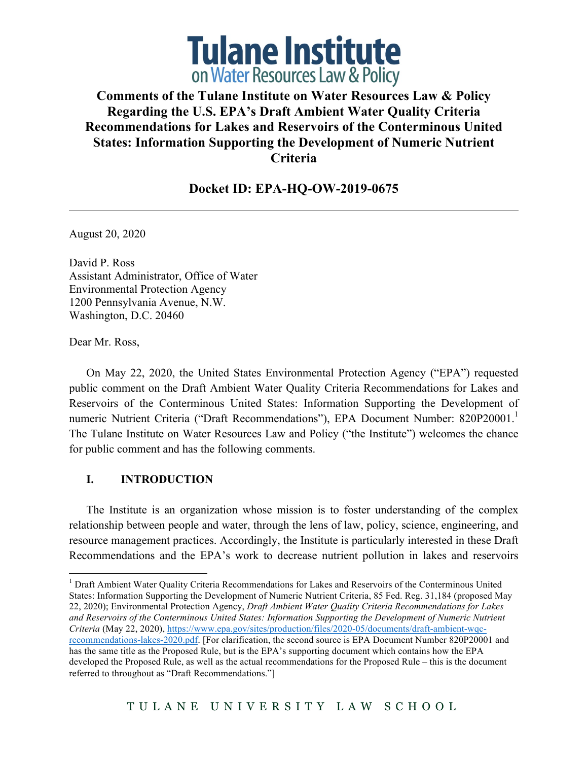

# **Comments of the Tulane Institute on Water Resources Law & Policy Regarding the U.S. EPA's Draft Ambient Water Quality Criteria Recommendations for Lakes and Reservoirs of the Conterminous United States: Information Supporting the Development of Numeric Nutrient Criteria**

## **Docket ID: EPA-HQ-OW-2019-0675**

August 20, 2020

David P. Ross Assistant Administrator, Office of Water Environmental Protection Agency 1200 Pennsylvania Avenue, N.W. Washington, D.C. 20460

Dear Mr. Ross,

On May 22, 2020, the United States Environmental Protection Agency ("EPA") requested public comment on the Draft Ambient Water Quality Criteria Recommendations for Lakes and Reservoirs of the Conterminous United States: Information Supporting the Development of numeric Nutrient Criteria ("Draft Recommendations"), EPA Document Number: 820P20001.<sup>1</sup> The Tulane Institute on Water Resources Law and Policy ("the Institute") welcomes the chance for public comment and has the following comments.

#### **I. INTRODUCTION**

The Institute is an organization whose mission is to foster understanding of the complex relationship between people and water, through the lens of law, policy, science, engineering, and resource management practices. Accordingly, the Institute is particularly interested in these Draft Recommendations and the EPA's work to decrease nutrient pollution in lakes and reservoirs

<sup>&</sup>lt;sup>1</sup> Draft Ambient Water Quality Criteria Recommendations for Lakes and Reservoirs of the Conterminous United States: Information Supporting the Development of Numeric Nutrient Criteria, 85 Fed. Reg. 31,184 (proposed May 22, 2020); Environmental Protection Agency, *Draft Ambient Water Quality Criteria Recommendations for Lakes and Reservoirs of the Conterminous United States: Information Supporting the Development of Numeric Nutrient Criteria* (May 22, 2020), https://www.epa.gov/sites/production/files/2020-05/documents/draft-ambient-wqcrecommendations-lakes-2020.pdf. [For clarification, the second source is EPA Document Number 820P20001 and has the same title as the Proposed Rule, but is the EPA's supporting document which contains how the EPA developed the Proposed Rule, as well as the actual recommendations for the Proposed Rule – this is the document referred to throughout as "Draft Recommendations."]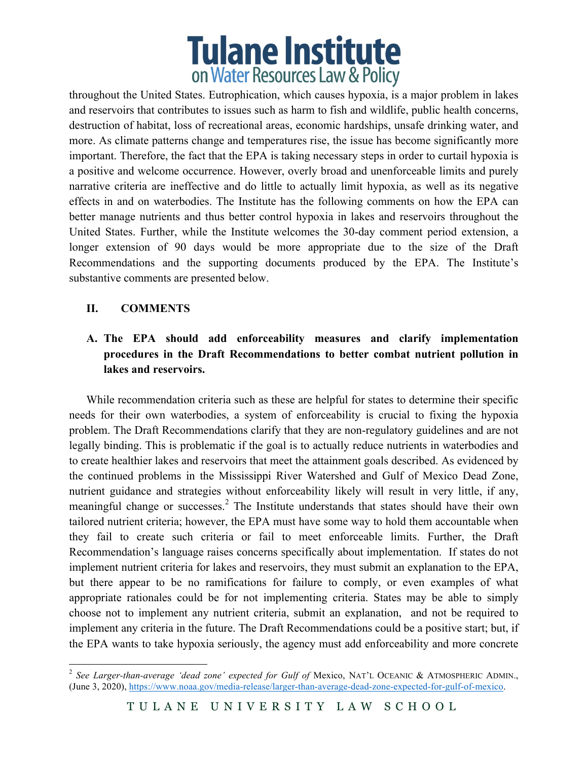# **Tulane Institute** on Water Resources Law & Policy

throughout the United States. Eutrophication, which causes hypoxia, is a major problem in lakes and reservoirs that contributes to issues such as harm to fish and wildlife, public health concerns, destruction of habitat, loss of recreational areas, economic hardships, unsafe drinking water, and more. As climate patterns change and temperatures rise, the issue has become significantly more important. Therefore, the fact that the EPA is taking necessary steps in order to curtail hypoxia is a positive and welcome occurrence. However, overly broad and unenforceable limits and purely narrative criteria are ineffective and do little to actually limit hypoxia, as well as its negative effects in and on waterbodies. The Institute has the following comments on how the EPA can better manage nutrients and thus better control hypoxia in lakes and reservoirs throughout the United States. Further, while the Institute welcomes the 30-day comment period extension, a longer extension of 90 days would be more appropriate due to the size of the Draft Recommendations and the supporting documents produced by the EPA. The Institute's substantive comments are presented below.

### **II. COMMENTS**

## **A. The EPA should add enforceability measures and clarify implementation procedures in the Draft Recommendations to better combat nutrient pollution in lakes and reservoirs.**

While recommendation criteria such as these are helpful for states to determine their specific needs for their own waterbodies, a system of enforceability is crucial to fixing the hypoxia problem. The Draft Recommendations clarify that they are non-regulatory guidelines and are not legally binding. This is problematic if the goal is to actually reduce nutrients in waterbodies and to create healthier lakes and reservoirs that meet the attainment goals described. As evidenced by the continued problems in the Mississippi River Watershed and Gulf of Mexico Dead Zone, nutrient guidance and strategies without enforceability likely will result in very little, if any, meaningful change or successes.<sup>2</sup> The Institute understands that states should have their own tailored nutrient criteria; however, the EPA must have some way to hold them accountable when they fail to create such criteria or fail to meet enforceable limits. Further, the Draft Recommendation's language raises concerns specifically about implementation. If states do not implement nutrient criteria for lakes and reservoirs, they must submit an explanation to the EPA, but there appear to be no ramifications for failure to comply, or even examples of what appropriate rationales could be for not implementing criteria. States may be able to simply choose not to implement any nutrient criteria, submit an explanation, and not be required to implement any criteria in the future. The Draft Recommendations could be a positive start; but, if the EPA wants to take hypoxia seriously, the agency must add enforceability and more concrete

<sup>&</sup>lt;sup>2</sup> See Larger-than-average 'dead zone' expected for Gulf of Mexico, NAT'L OCEANIC & ATMOSPHERIC ADMIN., (June 3, 2020), https://www.noaa.gov/media-release/larger-than-average-dead-zone-expected-for-gulf-of-mexico.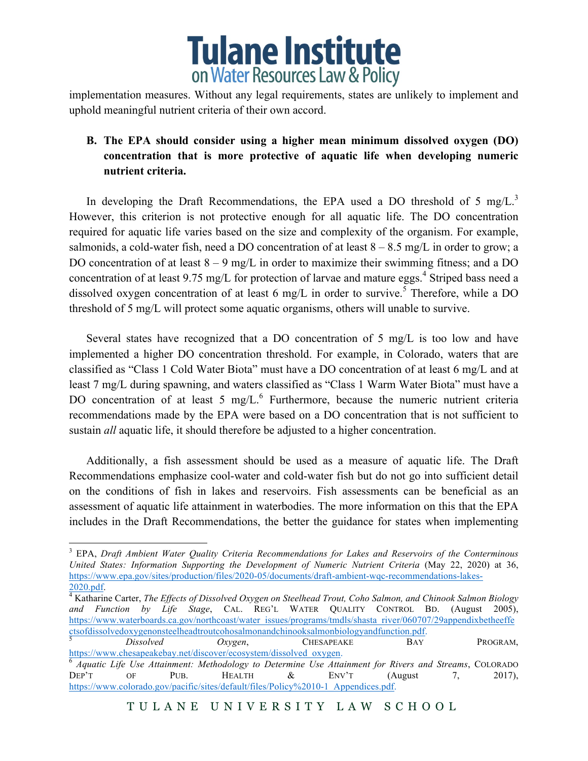

implementation measures. Without any legal requirements, states are unlikely to implement and uphold meaningful nutrient criteria of their own accord.

# **B. The EPA should consider using a higher mean minimum dissolved oxygen (DO) concentration that is more protective of aquatic life when developing numeric nutrient criteria.**

In developing the Draft Recommendations, the EPA used a DO threshold of 5 mg/L.<sup>3</sup> However, this criterion is not protective enough for all aquatic life. The DO concentration required for aquatic life varies based on the size and complexity of the organism. For example, salmonids, a cold-water fish, need a DO concentration of at least  $8 - 8.5$  mg/L in order to grow; a DO concentration of at least  $8 - 9$  mg/L in order to maximize their swimming fitness; and a DO concentration of at least 9.75 mg/L for protection of larvae and mature eggs.<sup>4</sup> Striped bass need a dissolved oxygen concentration of at least 6 mg/L in order to survive.<sup>5</sup> Therefore, while a DO threshold of 5 mg/L will protect some aquatic organisms, others will unable to survive.

Several states have recognized that a DO concentration of 5 mg/L is too low and have implemented a higher DO concentration threshold. For example, in Colorado, waters that are classified as "Class 1 Cold Water Biota" must have a DO concentration of at least 6 mg/L and at least 7 mg/L during spawning, and waters classified as "Class 1 Warm Water Biota" must have a DO concentration of at least 5 mg/L.<sup>6</sup> Furthermore, because the numeric nutrient criteria recommendations made by the EPA were based on a DO concentration that is not sufficient to sustain *all* aquatic life, it should therefore be adjusted to a higher concentration.

Additionally, a fish assessment should be used as a measure of aquatic life. The Draft Recommendations emphasize cool-water and cold-water fish but do not go into sufficient detail on the conditions of fish in lakes and reservoirs. Fish assessments can be beneficial as an assessment of aquatic life attainment in waterbodies. The more information on this that the EPA includes in the Draft Recommendations, the better the guidance for states when implementing

 <sup>3</sup> EPA, *Draft Ambient Water Quality Criteria Recommendations for Lakes and Reservoirs of the Conterminous United States: Information Supporting the Development of Numeric Nutrient Criteria* (May 22, 2020) at 36, https://www.epa.gov/sites/production/files/2020-05/documents/draft-ambient-wqc-recommendations-lakes-

<sup>&</sup>lt;sup>4</sup> Katharine Carter, *The Effects of Dissolved Oxygen on Steelhead Trout, Coho Salmon, and Chinook Salmon Biology and Function by Life Stage*, CAL. REG'L WATER QUALITY CONTROL BD. (August 2005), https://www.waterboards.ca.gov/northcoast/water\_issues/programs/tmdls/shasta\_river/060707/29appendixbetheeffe ctsofdissolvedoxygenonsteelheadtroutcohosalmonandchinooksalmonbiologyandfunction.pdf. <sup>5</sup> *Dissolved Oxygen*, CHESAPEAKE BAY PROGRAM,

https://www.chesapeakebay.net/discover/ecosystem/dissolved\_oxygen. <sup>6</sup> *Aquatic Life Use Attainment: Methodology to Determine Use Attainment for Rivers and Streams*, COLORADO DEP'T OF PUB. HEALTH  $\&$  ENV'T (August 7, 2017), https://www.colorado.gov/pacific/sites/default/files/Policy%2010-1\_Appendices.pdf.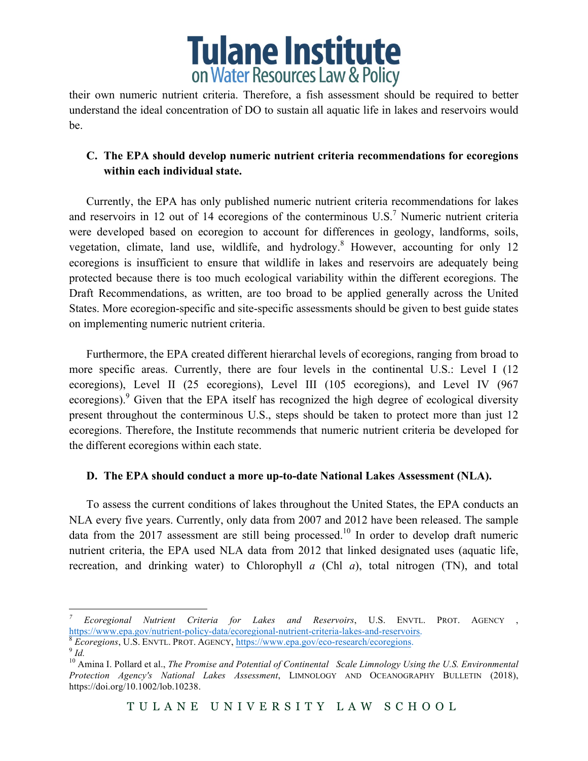

their own numeric nutrient criteria. Therefore, a fish assessment should be required to better understand the ideal concentration of DO to sustain all aquatic life in lakes and reservoirs would be.

## **C. The EPA should develop numeric nutrient criteria recommendations for ecoregions within each individual state.**

Currently, the EPA has only published numeric nutrient criteria recommendations for lakes and reservoirs in 12 out of 14 ecoregions of the conterminous U.S.<sup>7</sup> Numeric nutrient criteria were developed based on ecoregion to account for differences in geology, landforms, soils, vegetation, climate, land use, wildlife, and hydrology.<sup>8</sup> However, accounting for only 12 ecoregions is insufficient to ensure that wildlife in lakes and reservoirs are adequately being protected because there is too much ecological variability within the different ecoregions. The Draft Recommendations, as written, are too broad to be applied generally across the United States. More ecoregion-specific and site-specific assessments should be given to best guide states on implementing numeric nutrient criteria.

Furthermore, the EPA created different hierarchal levels of ecoregions, ranging from broad to more specific areas. Currently, there are four levels in the continental U.S.: Level I (12 ecoregions), Level II (25 ecoregions), Level III (105 ecoregions), and Level IV (967 ecoregions).<sup>9</sup> Given that the EPA itself has recognized the high degree of ecological diversity present throughout the conterminous U.S., steps should be taken to protect more than just 12 ecoregions. Therefore, the Institute recommends that numeric nutrient criteria be developed for the different ecoregions within each state.

#### **D. The EPA should conduct a more up-to-date National Lakes Assessment (NLA).**

To assess the current conditions of lakes throughout the United States, the EPA conducts an NLA every five years. Currently, only data from 2007 and 2012 have been released. The sample data from the 2017 assessment are still being processed.<sup>10</sup> In order to develop draft numeric nutrient criteria, the EPA used NLA data from 2012 that linked designated uses (aquatic life, recreation, and drinking water) to Chlorophyll *a* (Chl *a*), total nitrogen (TN), and total

*<sup>7</sup> Ecoregional Nutrient Criteria for Lakes and Reservoirs*, U.S. ENVTL. PROT. AGENCY , https://www.epa.gov/nutrient-policy-data/ecoregional-nutrient-criteria-lakes-and-reservoirs. <sup>8</sup> *Ecoregions*, U.S. ENVTL. PROT. AGENCY, https://www.epa.gov/eco-research/ecoregions. <sup>9</sup> *Id.*

<sup>&</sup>lt;sup>10</sup> Amina I. Pollard et al., *The Promise and Potential of Continental Scale Limnology Using the U.S. Environmental Protection Agency's National Lakes Assessment*, LIMNOLOGY AND OCEANOGRAPHY BULLETIN (2018), https://doi.org/10.1002/lob.10238.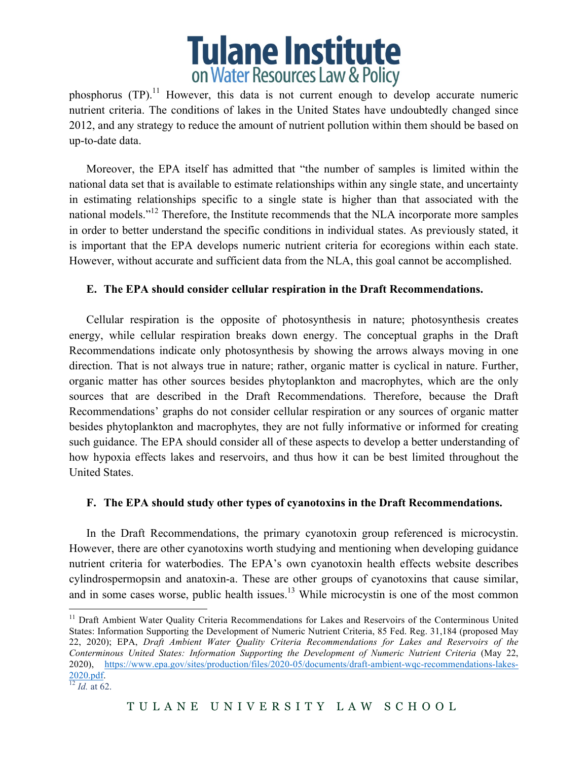

phosphorus  $(TP)^{11}$  However, this data is not current enough to develop accurate numeric nutrient criteria. The conditions of lakes in the United States have undoubtedly changed since 2012, and any strategy to reduce the amount of nutrient pollution within them should be based on up-to-date data.

Moreover, the EPA itself has admitted that "the number of samples is limited within the national data set that is available to estimate relationships within any single state, and uncertainty in estimating relationships specific to a single state is higher than that associated with the national models."<sup>12</sup> Therefore, the Institute recommends that the NLA incorporate more samples in order to better understand the specific conditions in individual states. As previously stated, it is important that the EPA develops numeric nutrient criteria for ecoregions within each state. However, without accurate and sufficient data from the NLA, this goal cannot be accomplished.

#### **E. The EPA should consider cellular respiration in the Draft Recommendations.**

Cellular respiration is the opposite of photosynthesis in nature; photosynthesis creates energy, while cellular respiration breaks down energy. The conceptual graphs in the Draft Recommendations indicate only photosynthesis by showing the arrows always moving in one direction. That is not always true in nature; rather, organic matter is cyclical in nature. Further, organic matter has other sources besides phytoplankton and macrophytes, which are the only sources that are described in the Draft Recommendations. Therefore, because the Draft Recommendations' graphs do not consider cellular respiration or any sources of organic matter besides phytoplankton and macrophytes, they are not fully informative or informed for creating such guidance. The EPA should consider all of these aspects to develop a better understanding of how hypoxia effects lakes and reservoirs, and thus how it can be best limited throughout the United States.

#### **F. The EPA should study other types of cyanotoxins in the Draft Recommendations.**

In the Draft Recommendations, the primary cyanotoxin group referenced is microcystin. However, there are other cyanotoxins worth studying and mentioning when developing guidance nutrient criteria for waterbodies. The EPA's own cyanotoxin health effects website describes cylindrospermopsin and anatoxin-a. These are other groups of cyanotoxins that cause similar, and in some cases worse, public health issues. $13$  While microcystin is one of the most common

<sup>&</sup>lt;sup>11</sup> Draft Ambient Water Quality Criteria Recommendations for Lakes and Reservoirs of the Conterminous United States: Information Supporting the Development of Numeric Nutrient Criteria, 85 Fed. Reg. 31,184 (proposed May 22, 2020); EPA, *Draft Ambient Water Quality Criteria Recommendations for Lakes and Reservoirs of the Conterminous United States: Information Supporting the Development of Numeric Nutrient Criteria* (May 22, 2020), https://www.epa.gov/sites/production/files/2020-05/documents/draft-ambient-wqc-recommendations-lakes- $\frac{2020. \text{pdf}}{12}$  *Id.* at 62.